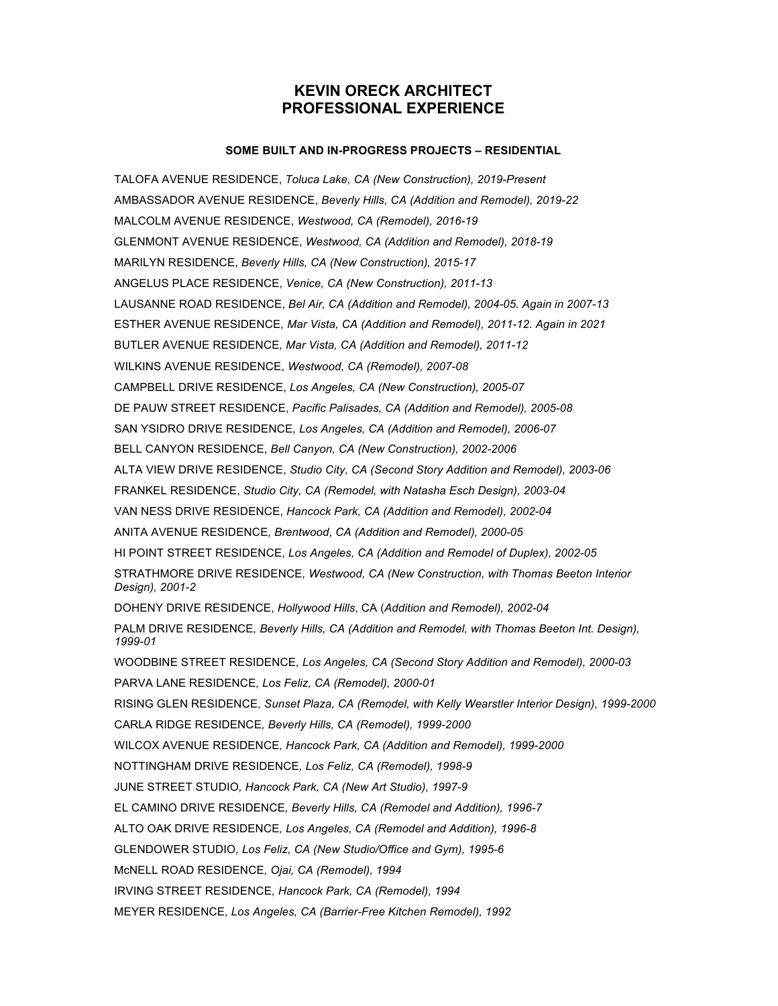# **KEVIN ORECK ARCHITECT PROFESSIONAL EXPERIENCE**

## **SOME BUILT AND IN-PROGRESS PROJECTS – RESIDENTIAL**

TALOFA AVENUE RESIDENCE, *Toluca Lake, CA (New Construction), 2019-Present* AMBASSADOR AVENUE RESIDENCE, *Beverly Hills, CA (Addition and Remodel), 2019-22* MALCOLM AVENUE RESIDENCE, *Westwood, CA (Remodel), 2016-19* GLENMONT AVENUE RESIDENCE, *Westwood, CA (Addition and Remodel), 2018-19* MARILYN RESIDENCE, *Beverly Hills, CA (New Construction), 2015-17* ANGELUS PLACE RESIDENCE, *Venice, CA (New Construction), 2011-13* LAUSANNE ROAD RESIDENCE, *Bel Air, CA (Addition and Remodel), 2004-05. Again in 2007-13* ESTHER AVENUE RESIDENCE*, Mar Vista, CA (Addition and Remodel), 2011-12. Again in 2021* BUTLER AVENUE RESIDENCE*, Mar Vista, CA (Addition and Remodel), 2011-12* WILKINS AVENUE RESIDENCE, *Westwood, CA (Remodel), 2007-08* CAMPBELL DRIVE RESIDENCE, *Los Angeles, CA (New Construction), 2005-07* DE PAUW STREET RESIDENCE, *Pacific Palisades, CA (Addition and Remodel), 2005-08* SAN YSIDRO DRIVE RESIDENCE*, Los Angeles, CA (Addition and Remodel), 2006-07* BELL CANYON RESIDENCE, *Bell Canyon, CA (New Construction), 2002-2006* ALTA VIEW DRIVE RESIDENCE, *Studio City, CA (Second Story Addition and Remodel), 2003-06* FRANKEL RESIDENCE, *Studio City, CA (Remodel, with Natasha Esch Design), 2003-04* VAN NESS DRIVE RESIDENCE, *Hancock Park, CA (Addition and Remodel), 2002-04* ANITA AVENUE RESIDENCE*, Brentwood*, *CA (Addition and Remodel), 2000-05* HI POINT STREET RESIDENCE, *Los Angeles, CA (Addition and Remodel of Duplex), 2002-05* STRATHMORE DRIVE RESIDENCE*, Westwood, CA (New Construction, with Thomas Beeton Interior Design), 2001-2* DOHENY DRIVE RESIDENCE, *Hollywood Hills*, CA (*Addition and Remodel), 2002-04* PALM DRIVE RESIDENCE*, Beverly Hills, CA (Addition and Remodel, with Thomas Beeton Int. Design), 1999-01* WOODBINE STREET RESIDENCE*, Los Angeles, CA (Second Story Addition and Remodel), 2000-03* PARVA LANE RESIDENCE*, Los Feliz, CA (Remodel), 2000-01* RISING GLEN RESIDENCE*, Sunset Plaza, CA (Remodel, with Kelly Wearstler Interior Design), 1999-2000* CARLA RIDGE RESIDENCE*, Beverly Hills, CA (Remodel), 1999-2000* WILCOX AVENUE RESIDENCE*, Hancock Park, CA (Addition and Remodel), 1999-2000* NOTTINGHAM DRIVE RESIDENCE*, Los Feliz, CA (Remodel), 1998-9* JUNE STREET STUDIO*, Hancock Park, CA (New Art Studio), 1997-9* EL CAMINO DRIVE RESIDENCE*, Beverly Hills, CA (Remodel and Addition), 1996-7* ALTO OAK DRIVE RESIDENCE*, Los Angeles, CA (Remodel and Addition), 1996-8* GLENDOWER STUDIO*, Los Feliz, CA (New Studio/Office and Gym), 1995-6* McNELL ROAD RESIDENCE*, Ojai, CA (Remodel), 1994* IRVING STREET RESIDENCE*, Hancock Park, CA (Remodel), 1994* MEYER RESIDENCE*, Los Angeles, CA (Barrier-Free Kitchen Remodel), 1992*